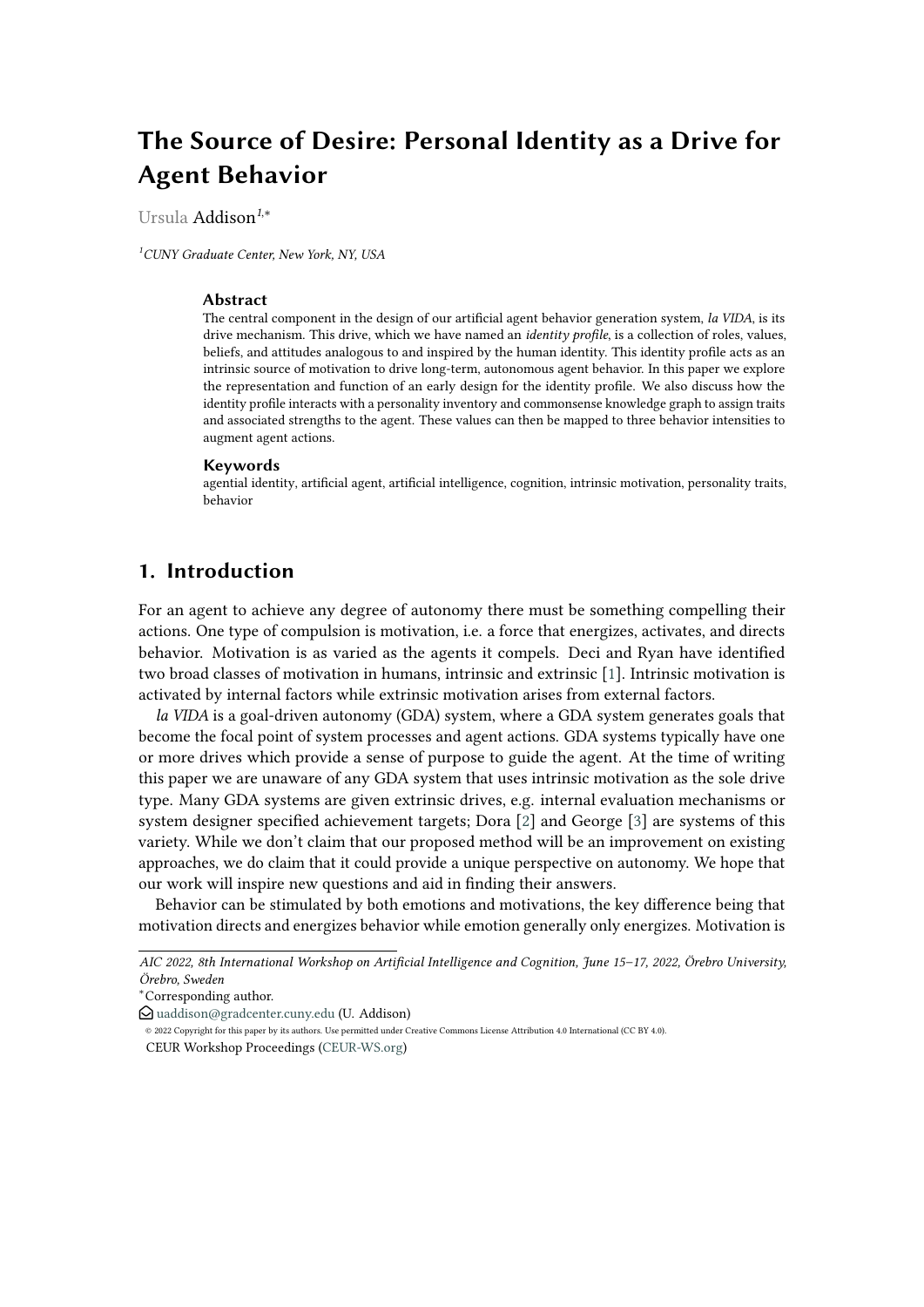# **The Source of Desire: Personal Identity as a Drive for Agent Behavior**

Ursula Addison*<sup>1</sup>*,\*

*<sup>1</sup>CUNY Graduate Center, New York, NY, USA*

#### **Abstract**

The central component in the design of our artificial agent behavior generation system, *la VIDA*, is its drive mechanism. This drive, which we have named an *identity profile*, is a collection of roles, values, beliefs, and attitudes analogous to and inspired by the human identity. This identity profile acts as an intrinsic source of motivation to drive long-term, autonomous agent behavior. In this paper we explore the representation and function of an early design for the identity profile. We also discuss how the identity profile interacts with a personality inventory and commonsense knowledge graph to assign traits and associated strengths to the agent. These values can then be mapped to three behavior intensities to augment agent actions.

#### **Keywords**

agential identity, artificial agent, artificial intelligence, cognition, intrinsic motivation, personality traits, behavior

## **1. Introduction**

For an agent to achieve any degree of autonomy there must be something compelling their actions. One type of compulsion is motivation, i.e. a force that energizes, activates, and directs behavior. Motivation is as varied as the agents it compels. Deci and Ryan have identified two broad classes of motivation in humans, intrinsic and extrinsic [\[1\]](#page-7-0). Intrinsic motivation is activated by internal factors while extrinsic motivation arises from external factors.

*la VIDA* is a goal-driven autonomy (GDA) system, where a GDA system generates goals that become the focal point of system processes and agent actions. GDA systems typically have one or more drives which provide a sense of purpose to guide the agent. At the time of writing this paper we are unaware of any GDA system that uses intrinsic motivation as the sole drive type. Many GDA systems are given extrinsic drives, e.g. internal evaluation mechanisms or system designer specified achievement targets; Dora [\[2\]](#page-7-1) and George [\[3\]](#page-7-2) are systems of this variety. While we don't claim that our proposed method will be an improvement on existing approaches, we do claim that it could provide a unique perspective on autonomy. We hope that our work will inspire new questions and aid in finding their answers.

Behavior can be stimulated by both emotions and motivations, the key difference being that motivation directs and energizes behavior while emotion generally only energizes. Motivation is

*AIC 2022, 8th International Workshop on Artificial Intelligence and Cognition, June 15–17, 2022, Örebro University, Örebro, Sweden*

<sup>\*</sup>Corresponding author.

 $\bigcirc$  [uaddison@gradcenter.cuny.edu](mailto:uaddison@gradcenter.cuny.edu) (U. Addison)

<sup>©</sup> 2022 Copyright for this paper by its authors. Use permitted under Creative Commons License Attribution 4.0 International (CC BY 4.0).

CEUR Workshop Proceedings [\(CEUR-WS.org\)](http://ceur-ws.org)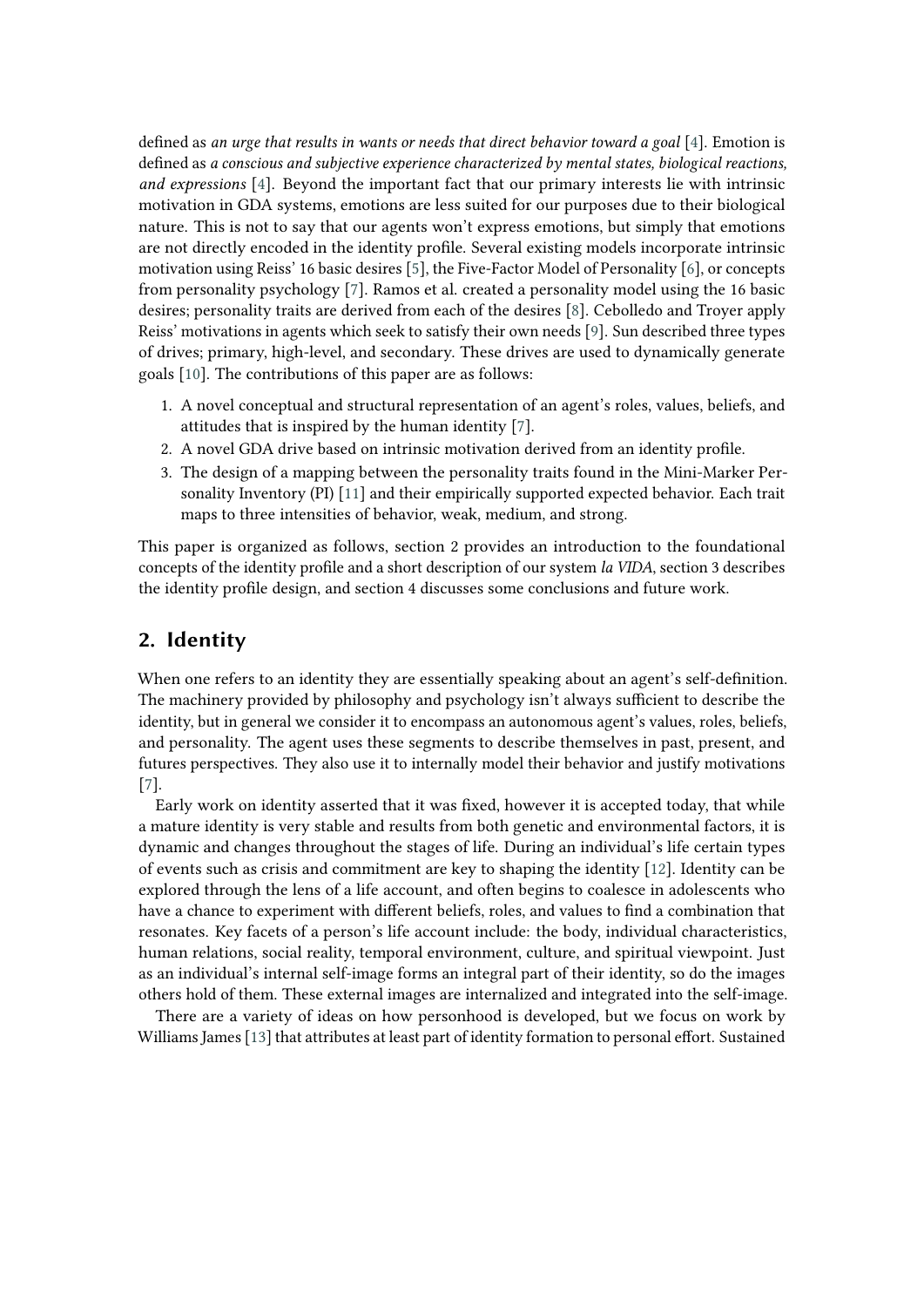defined as *an urge that results in wants or needs that direct behavior toward a goal* [\[4\]](#page-7-3). Emotion is defined as *a conscious and subjective experience characterized by mental states, biological reactions, and expressions* [\[4\]](#page-7-3). Beyond the important fact that our primary interests lie with intrinsic motivation in GDA systems, emotions are less suited for our purposes due to their biological nature. This is not to say that our agents won't express emotions, but simply that emotions are not directly encoded in the identity profile. Several existing models incorporate intrinsic motivation using Reiss' 16 basic desires [\[5\]](#page-7-4), the Five-Factor Model of Personality [\[6\]](#page-7-5), or concepts from personality psychology [\[7\]](#page-7-6). Ramos et al. created a personality model using the 16 basic desires; personality traits are derived from each of the desires [\[8\]](#page-7-7). Cebolledo and Troyer apply Reiss' motivations in agents which seek to satisfy their own needs [\[9\]](#page-7-8). Sun described three types of drives; primary, high-level, and secondary. These drives are used to dynamically generate goals [\[10\]](#page-7-9). The contributions of this paper are as follows:

- 1. A novel conceptual and structural representation of an agent's roles, values, beliefs, and attitudes that is inspired by the human identity [\[7\]](#page-7-6).
- 2. A novel GDA drive based on intrinsic motivation derived from an identity profile.
- 3. The design of a mapping between the personality traits found in the Mini-Marker Personality Inventory (PI) [\[11\]](#page-7-10) and their empirically supported expected behavior. Each trait maps to three intensities of behavior, weak, medium, and strong.

This paper is organized as follows, section 2 provides an introduction to the foundational concepts of the identity profile and a short description of our system *la VIDA*, section 3 describes the identity profile design, and section 4 discusses some conclusions and future work.

## **2. Identity**

When one refers to an identity they are essentially speaking about an agent's self-definition. The machinery provided by philosophy and psychology isn't always sufficient to describe the identity, but in general we consider it to encompass an autonomous agent's values, roles, beliefs, and personality. The agent uses these segments to describe themselves in past, present, and futures perspectives. They also use it to internally model their behavior and justify motivations [\[7\]](#page-7-6).

Early work on identity asserted that it was fixed, however it is accepted today, that while a mature identity is very stable and results from both genetic and environmental factors, it is dynamic and changes throughout the stages of life. During an individual's life certain types of events such as crisis and commitment are key to shaping the identity [\[12\]](#page-7-11). Identity can be explored through the lens of a life account, and often begins to coalesce in adolescents who have a chance to experiment with different beliefs, roles, and values to find a combination that resonates. Key facets of a person's life account include: the body, individual characteristics, human relations, social reality, temporal environment, culture, and spiritual viewpoint. Just as an individual's internal self-image forms an integral part of their identity, so do the images others hold of them. These external images are internalized and integrated into the self-image.

There are a variety of ideas on how personhood is developed, but we focus on work by Williams James [\[13\]](#page-7-12) that attributes at least part of identity formation to personal effort. Sustained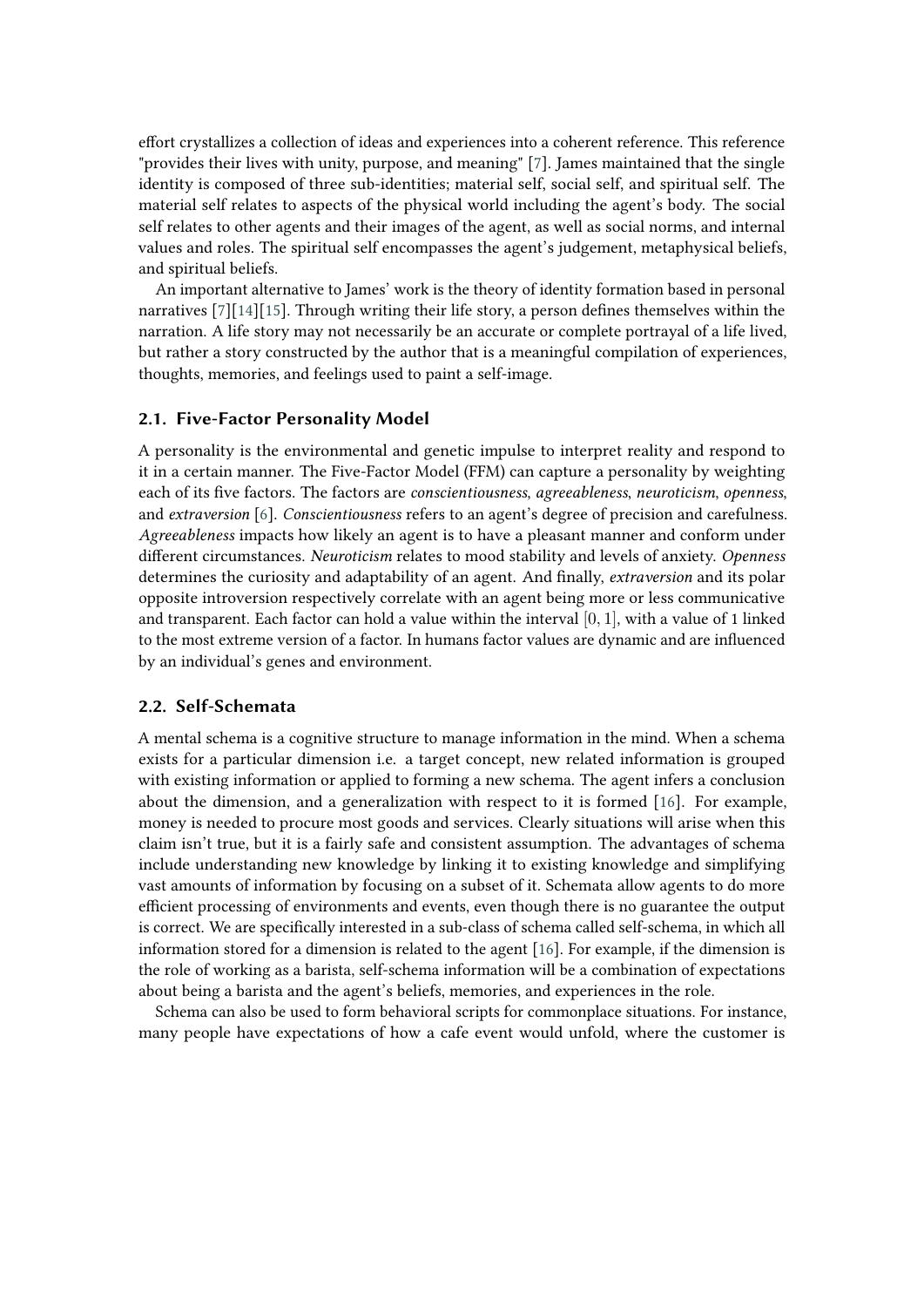effort crystallizes a collection of ideas and experiences into a coherent reference. This reference "provides their lives with unity, purpose, and meaning" [\[7\]](#page-7-6). James maintained that the single identity is composed of three sub-identities; material self, social self, and spiritual self. The material self relates to aspects of the physical world including the agent's body. The social self relates to other agents and their images of the agent, as well as social norms, and internal values and roles. The spiritual self encompasses the agent's judgement, metaphysical beliefs, and spiritual beliefs.

An important alternative to James' work is the theory of identity formation based in personal narratives [\[7\]](#page-7-6)[\[14\]](#page-7-13)[\[15\]](#page-7-14). Through writing their life story, a person defines themselves within the narration. A life story may not necessarily be an accurate or complete portrayal of a life lived, but rather a story constructed by the author that is a meaningful compilation of experiences, thoughts, memories, and feelings used to paint a self-image.

#### **2.1. Five-Factor Personality Model**

A personality is the environmental and genetic impulse to interpret reality and respond to it in a certain manner. The Five-Factor Model (FFM) can capture a personality by weighting each of its five factors. The factors are *conscientiousness*, *agreeableness*, *neuroticism*, *openness*, and *extraversion* [\[6\]](#page-7-5). *Conscientiousness* refers to an agent's degree of precision and carefulness. *Agreeableness* impacts how likely an agent is to have a pleasant manner and conform under different circumstances. *Neuroticism* relates to mood stability and levels of anxiety. *Openness* determines the curiosity and adaptability of an agent. And finally, *extraversion* and its polar opposite introversion respectively correlate with an agent being more or less communicative and transparent. Each factor can hold a value within the interval  $[0, 1]$ , with a value of 1 linked to the most extreme version of a factor. In humans factor values are dynamic and are influenced by an individual's genes and environment.

### **2.2. Self-Schemata**

A mental schema is a cognitive structure to manage information in the mind. When a schema exists for a particular dimension i.e. a target concept, new related information is grouped with existing information or applied to forming a new schema. The agent infers a conclusion about the dimension, and a generalization with respect to it is formed [\[16\]](#page-7-15). For example, money is needed to procure most goods and services. Clearly situations will arise when this claim isn't true, but it is a fairly safe and consistent assumption. The advantages of schema include understanding new knowledge by linking it to existing knowledge and simplifying vast amounts of information by focusing on a subset of it. Schemata allow agents to do more efficient processing of environments and events, even though there is no guarantee the output is correct. We are specifically interested in a sub-class of schema called self-schema, in which all information stored for a dimension is related to the agent [\[16\]](#page-7-15). For example, if the dimension is the role of working as a barista, self-schema information will be a combination of expectations about being a barista and the agent's beliefs, memories, and experiences in the role.

Schema can also be used to form behavioral scripts for commonplace situations. For instance, many people have expectations of how a cafe event would unfold, where the customer is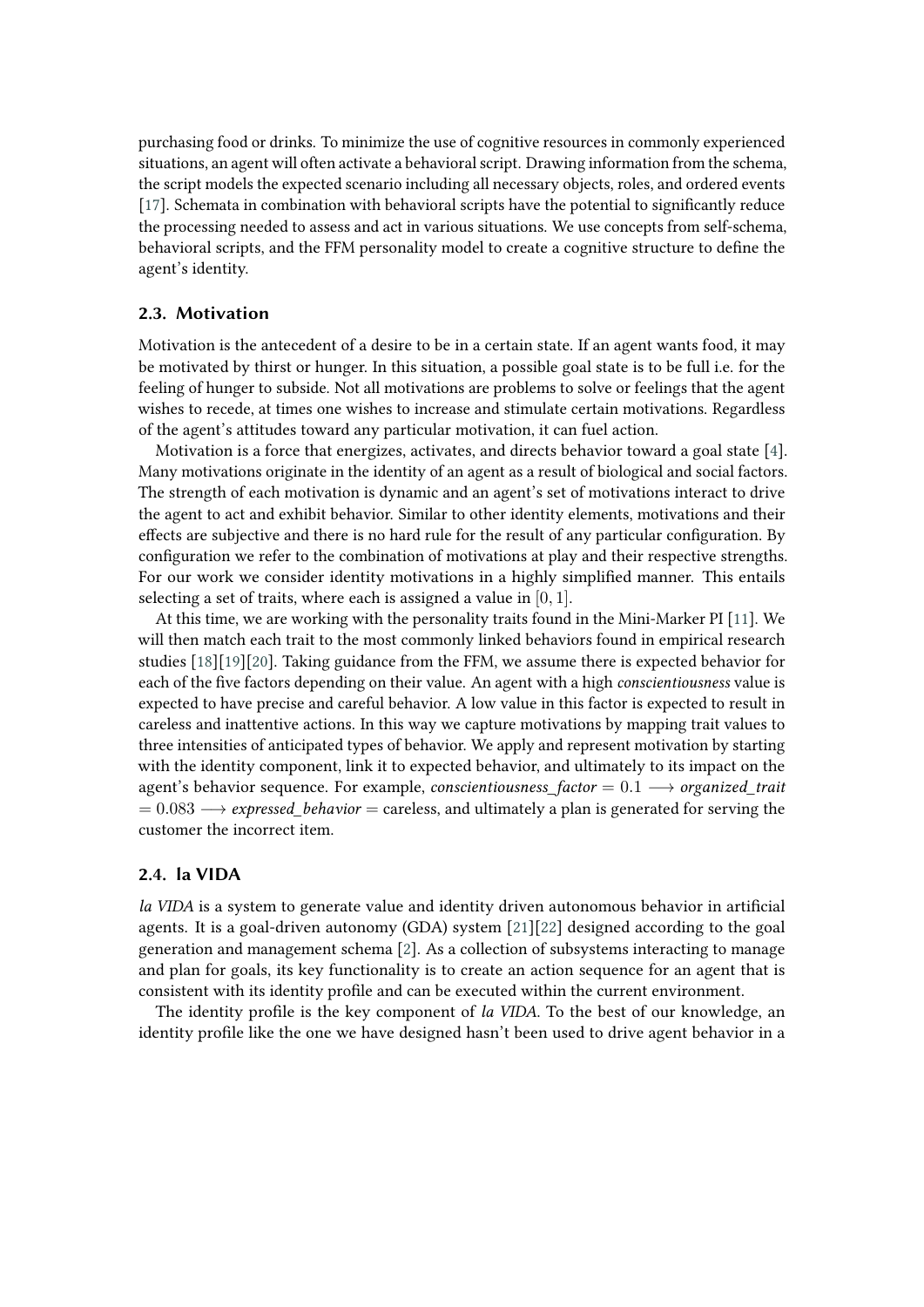purchasing food or drinks. To minimize the use of cognitive resources in commonly experienced situations, an agent will often activate a behavioral script. Drawing information from the schema, the script models the expected scenario including all necessary objects, roles, and ordered events [\[17\]](#page-7-16). Schemata in combination with behavioral scripts have the potential to significantly reduce the processing needed to assess and act in various situations. We use concepts from self-schema, behavioral scripts, and the FFM personality model to create a cognitive structure to define the agent's identity.

#### **2.3. Motivation**

Motivation is the antecedent of a desire to be in a certain state. If an agent wants food, it may be motivated by thirst or hunger. In this situation, a possible goal state is to be full i.e. for the feeling of hunger to subside. Not all motivations are problems to solve or feelings that the agent wishes to recede, at times one wishes to increase and stimulate certain motivations. Regardless of the agent's attitudes toward any particular motivation, it can fuel action.

Motivation is a force that energizes, activates, and directs behavior toward a goal state [\[4\]](#page-7-3). Many motivations originate in the identity of an agent as a result of biological and social factors. The strength of each motivation is dynamic and an agent's set of motivations interact to drive the agent to act and exhibit behavior. Similar to other identity elements, motivations and their effects are subjective and there is no hard rule for the result of any particular configuration. By configuration we refer to the combination of motivations at play and their respective strengths. For our work we consider identity motivations in a highly simplified manner. This entails selecting a set of traits, where each is assigned a value in  $[0, 1]$ .

At this time, we are working with the personality traits found in the Mini-Marker PI [\[11\]](#page-7-10). We will then match each trait to the most commonly linked behaviors found in empirical research studies [\[18\]](#page-7-17)[\[19\]](#page-7-18)[\[20\]](#page-7-19). Taking guidance from the FFM, we assume there is expected behavior for each of the five factors depending on their value. An agent with a high *conscientiousness* value is expected to have precise and careful behavior. A low value in this factor is expected to result in careless and inattentive actions. In this way we capture motivations by mapping trait values to three intensities of anticipated types of behavior. We apply and represent motivation by starting with the identity component, link it to expected behavior, and ultimately to its impact on the agent's behavior sequence. For example, *conscientiousness\_factor* = 0.1 −→ *organized\_trait*  $= 0.083 \rightarrow$  *expressed behavior* = careless, and ultimately a plan is generated for serving the customer the incorrect item.

## **2.4. la VIDA**

*la VIDA* is a system to generate value and identity driven autonomous behavior in artificial agents. It is a goal-driven autonomy (GDA) system [\[21\]](#page-8-0)[\[22\]](#page-8-1) designed according to the goal generation and management schema [\[2\]](#page-7-1). As a collection of subsystems interacting to manage and plan for goals, its key functionality is to create an action sequence for an agent that is consistent with its identity profile and can be executed within the current environment.

The identity profile is the key component of *la VIDA*. To the best of our knowledge, an identity profile like the one we have designed hasn't been used to drive agent behavior in a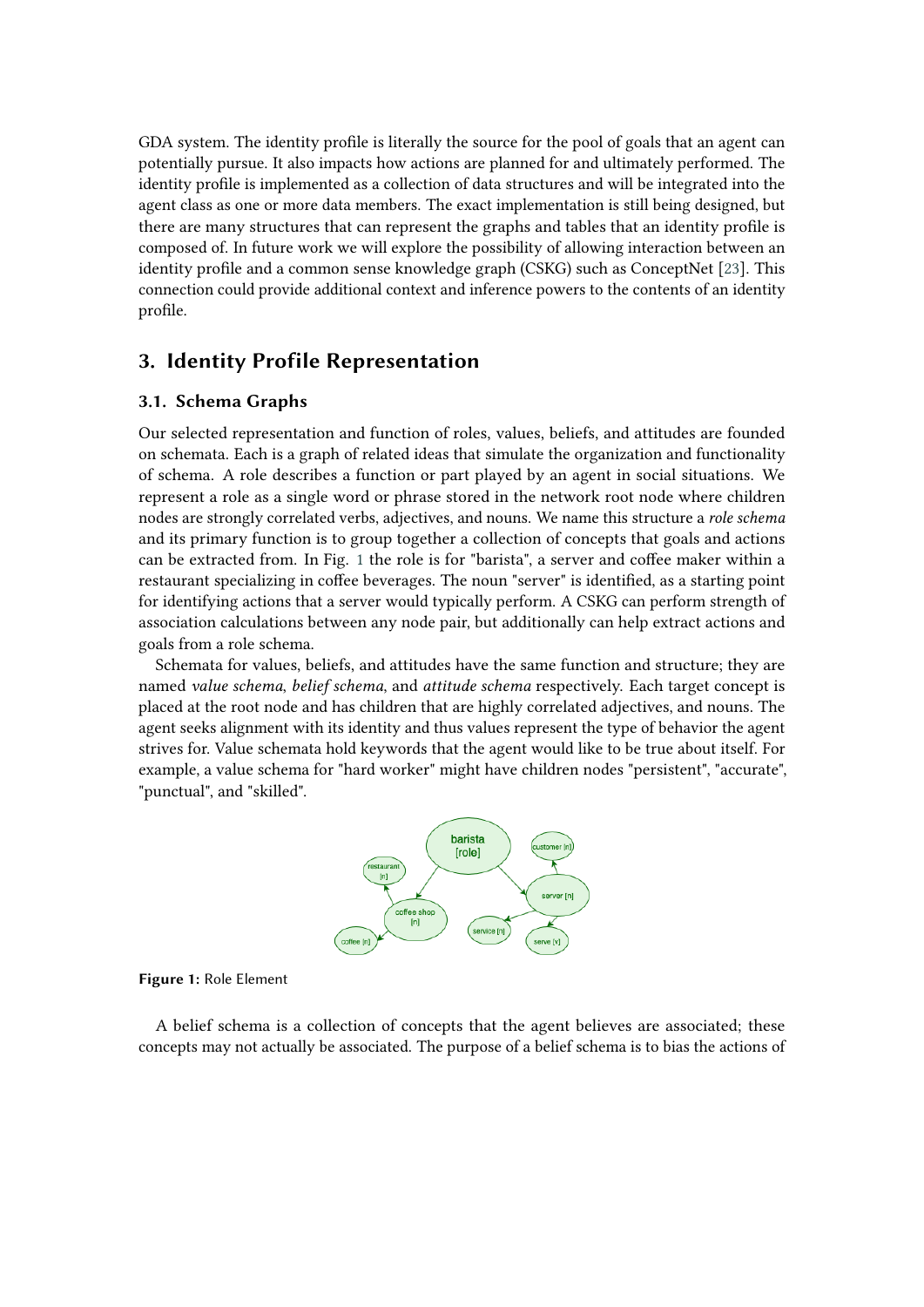GDA system. The identity profile is literally the source for the pool of goals that an agent can potentially pursue. It also impacts how actions are planned for and ultimately performed. The identity profile is implemented as a collection of data structures and will be integrated into the agent class as one or more data members. The exact implementation is still being designed, but there are many structures that can represent the graphs and tables that an identity profile is composed of. In future work we will explore the possibility of allowing interaction between an identity profile and a common sense knowledge graph (CSKG) such as ConceptNet [\[23\]](#page-8-2). This connection could provide additional context and inference powers to the contents of an identity profile.

## **3. Identity Profile Representation**

#### **3.1. Schema Graphs**

Our selected representation and function of roles, values, beliefs, and attitudes are founded on schemata. Each is a graph of related ideas that simulate the organization and functionality of schema. A role describes a function or part played by an agent in social situations. We represent a role as a single word or phrase stored in the network root node where children nodes are strongly correlated verbs, adjectives, and nouns. We name this structure a *role schema* and its primary function is to group together a collection of concepts that goals and actions can be extracted from. In Fig. [1](#page-4-0) the role is for "barista", a server and coffee maker within a restaurant specializing in coffee beverages. The noun "server" is identified, as a starting point for identifying actions that a server would typically perform. A CSKG can perform strength of association calculations between any node pair, but additionally can help extract actions and goals from a role schema.

Schemata for values, beliefs, and attitudes have the same function and structure; they are named *value schema*, *belief schema*, and *attitude schema* respectively. Each target concept is placed at the root node and has children that are highly correlated adjectives, and nouns. The agent seeks alignment with its identity and thus values represent the type of behavior the agent strives for. Value schemata hold keywords that the agent would like to be true about itself. For example, a value schema for "hard worker" might have children nodes "persistent", "accurate", "punctual", and "skilled".



<span id="page-4-0"></span>**Figure 1:** Role Element

A belief schema is a collection of concepts that the agent believes are associated; these concepts may not actually be associated. The purpose of a belief schema is to bias the actions of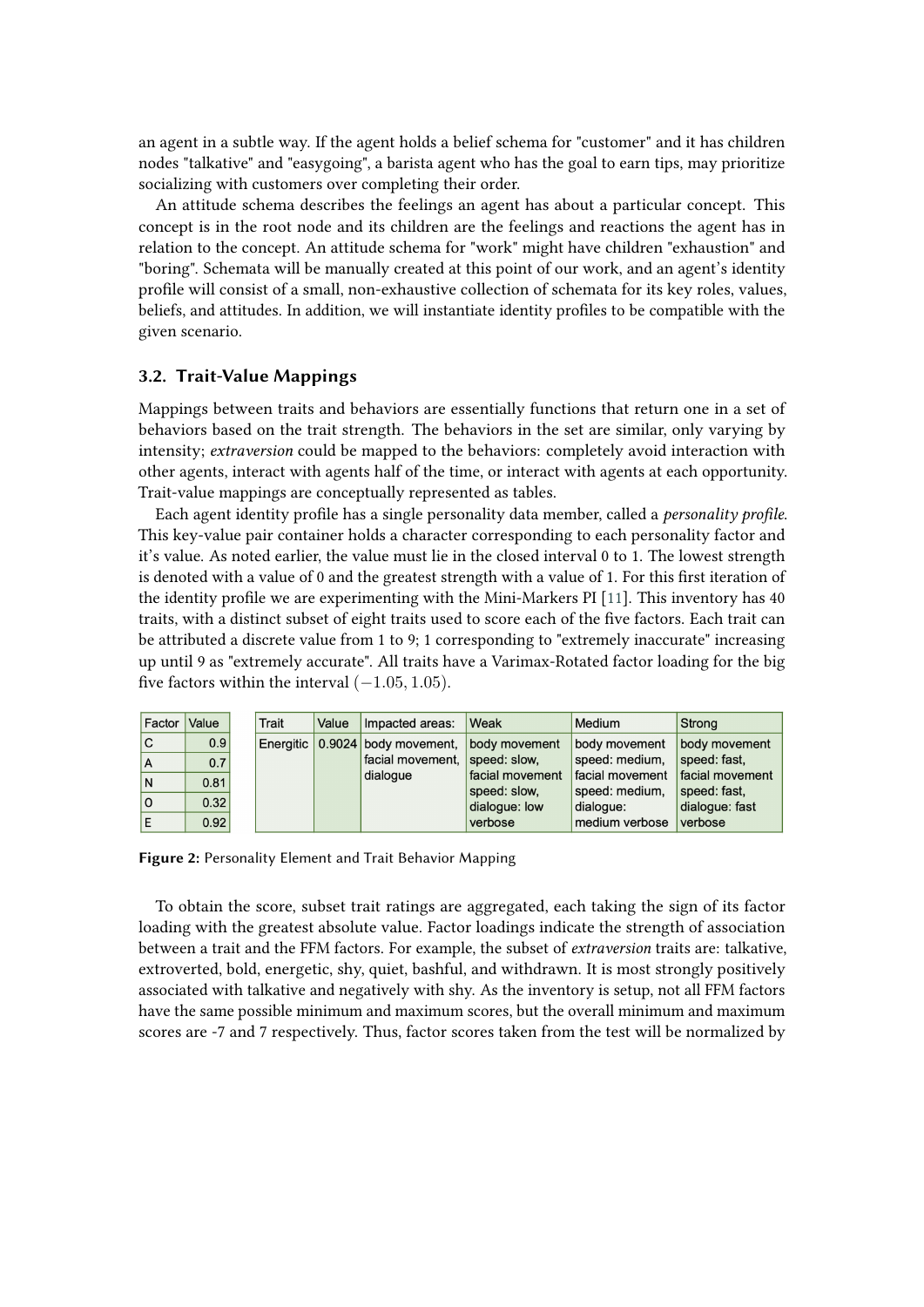an agent in a subtle way. If the agent holds a belief schema for "customer" and it has children nodes "talkative" and "easygoing", a barista agent who has the goal to earn tips, may prioritize socializing with customers over completing their order.

An attitude schema describes the feelings an agent has about a particular concept. This concept is in the root node and its children are the feelings and reactions the agent has in relation to the concept. An attitude schema for "work" might have children "exhaustion" and "boring". Schemata will be manually created at this point of our work, and an agent's identity profile will consist of a small, non-exhaustive collection of schemata for its key roles, values, beliefs, and attitudes. In addition, we will instantiate identity profiles to be compatible with the given scenario.

### **3.2. Trait-Value Mappings**

Mappings between traits and behaviors are essentially functions that return one in a set of behaviors based on the trait strength. The behaviors in the set are similar, only varying by intensity; *extraversion* could be mapped to the behaviors: completely avoid interaction with other agents, interact with agents half of the time, or interact with agents at each opportunity. Trait-value mappings are conceptually represented as tables.

Each agent identity profile has a single personality data member, called a *personality profile*. This key-value pair container holds a character corresponding to each personality factor and it's value. As noted earlier, the value must lie in the closed interval 0 to 1. The lowest strength is denoted with a value of 0 and the greatest strength with a value of 1. For this first iteration of the identity profile we are experimenting with the Mini-Markers PI [\[11\]](#page-7-10). This inventory has 40 traits, with a distinct subset of eight traits used to score each of the five factors. Each trait can be attributed a discrete value from 1 to 9; 1 corresponding to "extremely inaccurate" increasing up until 9 as "extremely accurate". All traits have a Varimax-Rotated factor loading for the big five factors within the interval  $(-1.05, 1.05)$ .

| Factor | Value | Trait | Value | Impacted areas:                               | <b>Weak</b>     | <b>Medium</b>   | Strong          |
|--------|-------|-------|-------|-----------------------------------------------|-----------------|-----------------|-----------------|
| C      | 0.9   |       |       | Energitic 0.9024 body movement, body movement |                 | body movement   | body movement   |
| A      | 0.7   |       |       | facial movement, speed: slow,                 |                 | speed: medium,  | speed: fast,    |
| N      | 0.81  |       |       | dialogue                                      | facial movement | facial movement | facial movement |
|        |       |       |       |                                               | speed: slow.    | speed: medium,  | speed: fast,    |
| ۵ı     | 0.32  |       |       |                                               | dialogue: low   | dialogue:       | dialoque: fast  |
|        | 0.92  |       |       |                                               | verbose         | medium verbose  | verbose         |

<span id="page-5-0"></span>**Figure 2:** Personality Element and Trait Behavior Mapping

To obtain the score, subset trait ratings are aggregated, each taking the sign of its factor loading with the greatest absolute value. Factor loadings indicate the strength of association between a trait and the FFM factors. For example, the subset of *extraversion* traits are: talkative, extroverted, bold, energetic, shy, quiet, bashful, and withdrawn. It is most strongly positively associated with talkative and negatively with shy. As the inventory is setup, not all FFM factors have the same possible minimum and maximum scores, but the overall minimum and maximum scores are -7 and 7 respectively. Thus, factor scores taken from the test will be normalized by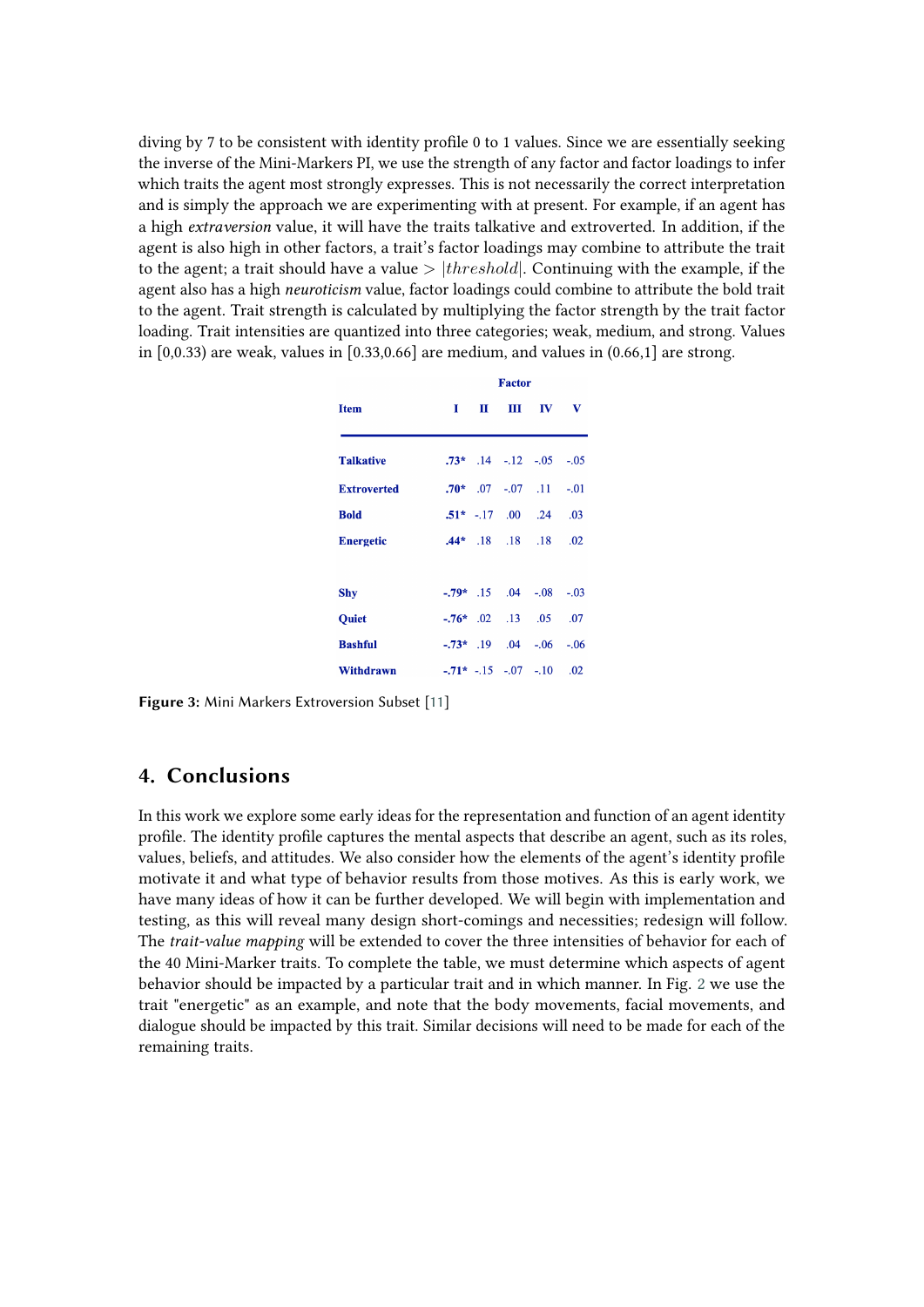diving by 7 to be consistent with identity profile 0 to 1 values. Since we are essentially seeking the inverse of the Mini-Markers PI, we use the strength of any factor and factor loadings to infer which traits the agent most strongly expresses. This is not necessarily the correct interpretation and is simply the approach we are experimenting with at present. For example, if an agent has a high *extraversion* value, it will have the traits talkative and extroverted. In addition, if the agent is also high in other factors, a trait's factor loadings may combine to attribute the trait to the agent; a trait should have a value  $> |threshold|$ . Continuing with the example, if the agent also has a high *neuroticism* value, factor loadings could combine to attribute the bold trait to the agent. Trait strength is calculated by multiplying the factor strength by the trait factor loading. Trait intensities are quantized into three categories; weak, medium, and strong. Values in  $[0,0.33)$  are weak, values in  $[0.33,0.66]$  are medium, and values in  $(0.66,1]$  are strong.

|                    | <b>Factor</b> |  |  |                                        |     |  |  |
|--------------------|---------------|--|--|----------------------------------------|-----|--|--|
| <b>Item</b>        | т             |  |  | $\mathbf{H}$ $\mathbf{H}$ $\mathbf{W}$ | v   |  |  |
| <b>Talkative</b>   |               |  |  | $.73*$ $.14$ $-.12$ $-.05$ $-.05$      |     |  |  |
| <b>Extroverted</b> |               |  |  | $.70*$ $.07$ $-.07$ $.11$ $-.01$       |     |  |  |
| <b>Bold</b>        |               |  |  | $.51^*$ -.17 .00 .24                   | .03 |  |  |
| <b>Energetic</b>   |               |  |  | $.44*$ $.18$ $.18$ $.18$               | .02 |  |  |
| <b>Shy</b>         |               |  |  | $-0.79*$ $15$ $0.04$ $-0.08$ $-0.03$   |     |  |  |
| <b>Ouiet</b>       |               |  |  | $-0.76*$ .02 .13 .05                   | .07 |  |  |
| <b>Bashful</b>     |               |  |  | $-0.73*$ .19 .04 $-0.06$ $-0.06$       |     |  |  |
| Withdrawn          |               |  |  | $-.71* -15 -07 -10$                    | .02 |  |  |

**Figure 3:** Mini Markers Extroversion Subset [\[11\]](#page-7-10)

## **4. Conclusions**

In this work we explore some early ideas for the representation and function of an agent identity profile. The identity profile captures the mental aspects that describe an agent, such as its roles, values, beliefs, and attitudes. We also consider how the elements of the agent's identity profile motivate it and what type of behavior results from those motives. As this is early work, we have many ideas of how it can be further developed. We will begin with implementation and testing, as this will reveal many design short-comings and necessities; redesign will follow. The *trait-value mapping* will be extended to cover the three intensities of behavior for each of the 40 Mini-Marker traits. To complete the table, we must determine which aspects of agent behavior should be impacted by a particular trait and in which manner. In Fig. [2](#page-5-0) we use the trait "energetic" as an example, and note that the body movements, facial movements, and dialogue should be impacted by this trait. Similar decisions will need to be made for each of the remaining traits.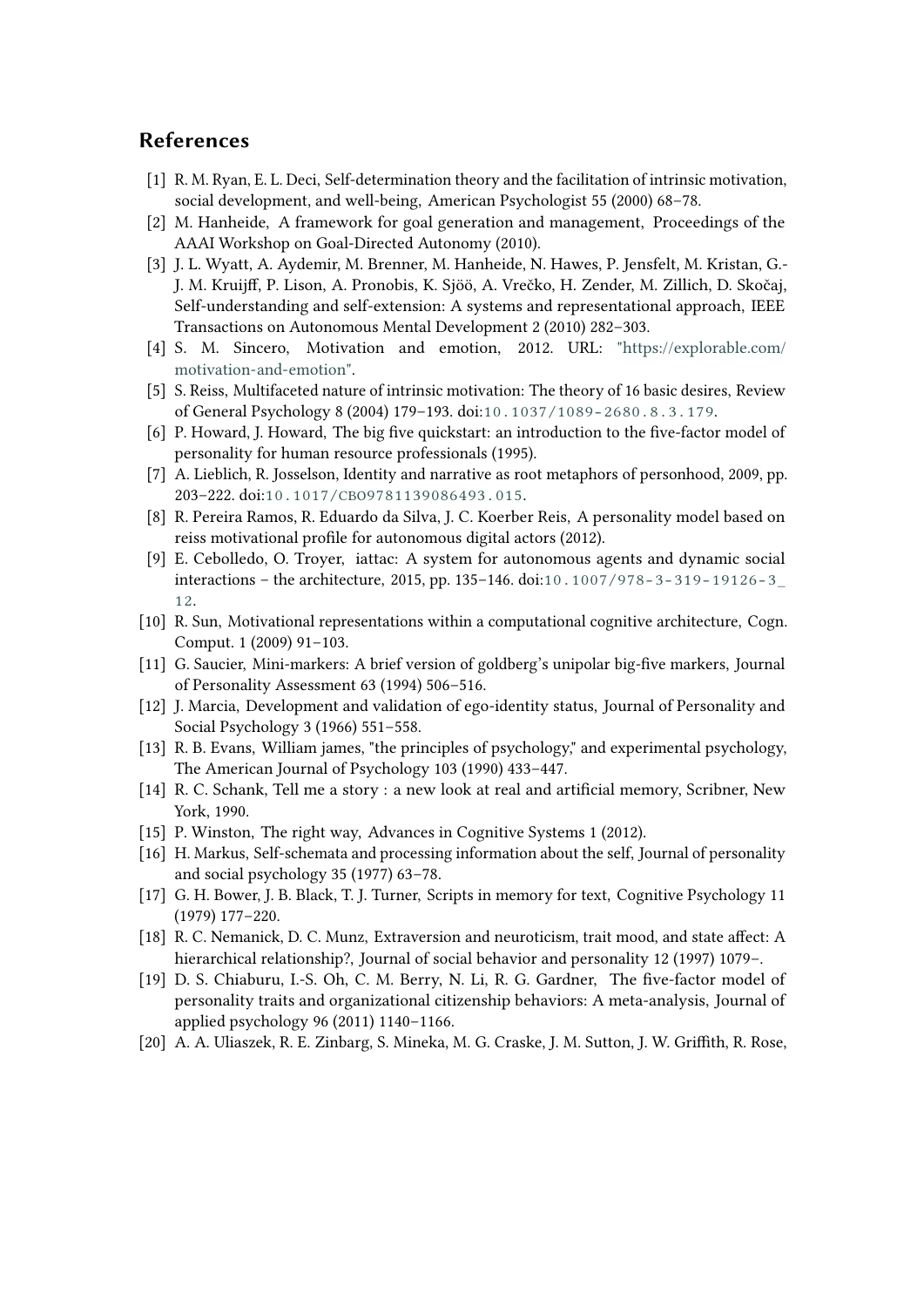## **References**

- <span id="page-7-0"></span>[1] R. M. Ryan, E. L. Deci, Self-determination theory and the facilitation of intrinsic motivation, social development, and well-being, American Psychologist 55 (2000) 68–78.
- <span id="page-7-1"></span>[2] M. Hanheide, A framework for goal generation and management, Proceedings of the AAAI Workshop on Goal-Directed Autonomy (2010).
- <span id="page-7-2"></span>[3] J. L. Wyatt, A. Aydemir, M. Brenner, M. Hanheide, N. Hawes, P. Jensfelt, M. Kristan, G.- J. M. Kruijff, P. Lison, A. Pronobis, K. Sjöö, A. Vrečko, H. Zender, M. Zillich, D. Skočaj, Self-understanding and self-extension: A systems and representational approach, IEEE Transactions on Autonomous Mental Development 2 (2010) 282–303.
- <span id="page-7-3"></span>[4] S. M. Sincero, Motivation and emotion, 2012. URL: ["https://explorable.com/]("https://explorable.com/motivation-and-emotion") [motivation-and-emotion".]("https://explorable.com/motivation-and-emotion")
- <span id="page-7-4"></span>[5] S. Reiss, Multifaceted nature of intrinsic motivation: The theory of 16 basic desires, Review of General Psychology 8 (2004) 179–193. doi:[10.1037/1089-2680.8.3.179](http://dx.doi.org/10.1037/1089-2680.8.3.179).
- <span id="page-7-5"></span>[6] P. Howard, J. Howard, The big five quickstart: an introduction to the five-factor model of personality for human resource professionals (1995).
- <span id="page-7-6"></span>[7] A. Lieblich, R. Josselson, Identity and narrative as root metaphors of personhood, 2009, pp. 203–222. doi:[10.1017/CBO9781139086493.015](http://dx.doi.org/10.1017/CBO9781139086493.015).
- <span id="page-7-7"></span>[8] R. Pereira Ramos, R. Eduardo da Silva, J. C. Koerber Reis, A personality model based on reiss motivational profile for autonomous digital actors (2012).
- <span id="page-7-8"></span>[9] E. Cebolledo, O. Troyer, iattac: A system for autonomous agents and dynamic social interactions – the architecture, 2015, pp. 135–146. doi:[10.1007/978-3-319-19126-3\\_](http://dx.doi.org/10.1007/978-3-319-19126-3_12) [12](http://dx.doi.org/10.1007/978-3-319-19126-3_12).
- <span id="page-7-9"></span>[10] R. Sun, Motivational representations within a computational cognitive architecture, Cogn. Comput. 1 (2009) 91–103.
- <span id="page-7-10"></span>[11] G. Saucier, Mini-markers: A brief version of goldberg's unipolar big-five markers, Journal of Personality Assessment 63 (1994) 506–516.
- <span id="page-7-11"></span>[12] J. Marcia, Development and validation of ego-identity status, Journal of Personality and Social Psychology 3 (1966) 551–558.
- <span id="page-7-12"></span>[13] R. B. Evans, William james, "the principles of psychology," and experimental psychology, The American Journal of Psychology 103 (1990) 433–447.
- <span id="page-7-13"></span>[14] R. C. Schank, Tell me a story : a new look at real and artificial memory, Scribner, New York, 1990.
- <span id="page-7-14"></span>[15] P. Winston, The right way, Advances in Cognitive Systems 1 (2012).
- <span id="page-7-15"></span>[16] H. Markus, Self-schemata and processing information about the self, Journal of personality and social psychology 35 (1977) 63–78.
- <span id="page-7-16"></span>[17] G. H. Bower, J. B. Black, T. J. Turner, Scripts in memory for text, Cognitive Psychology 11 (1979) 177–220.
- <span id="page-7-17"></span>[18] R. C. Nemanick, D. C. Munz, Extraversion and neuroticism, trait mood, and state affect: A hierarchical relationship?, Journal of social behavior and personality 12 (1997) 1079–.
- <span id="page-7-18"></span>[19] D. S. Chiaburu, I.-S. Oh, C. M. Berry, N. Li, R. G. Gardner, The five-factor model of personality traits and organizational citizenship behaviors: A meta-analysis, Journal of applied psychology 96 (2011) 1140–1166.
- <span id="page-7-19"></span>[20] A. A. Uliaszek, R. E. Zinbarg, S. Mineka, M. G. Craske, J. M. Sutton, J. W. Griffith, R. Rose,